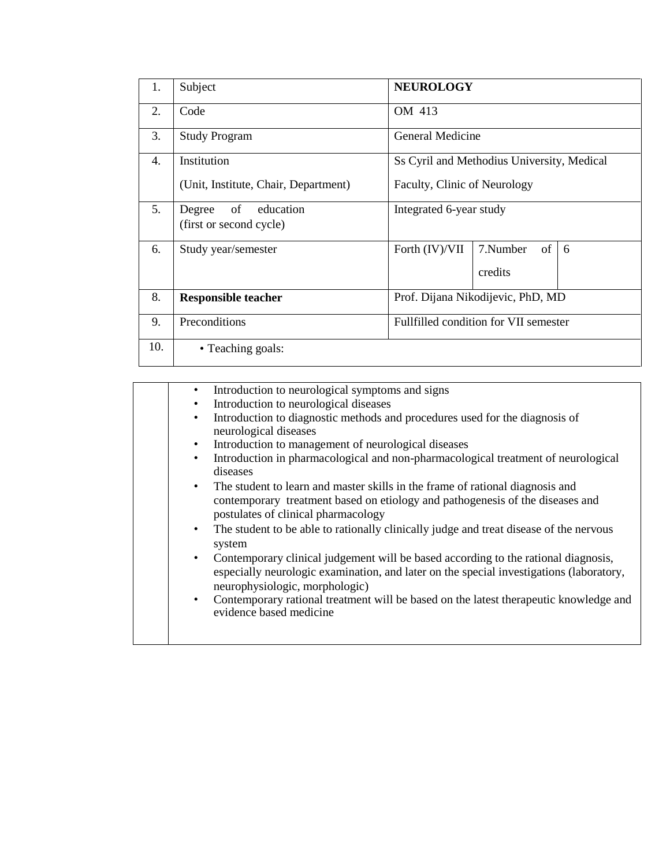| 1.  | Subject                              | <b>NEUROLOGY</b>                           |                |   |  |
|-----|--------------------------------------|--------------------------------------------|----------------|---|--|
| 2.  | OM 413<br>Code                       |                                            |                |   |  |
| 3.  | <b>Study Program</b>                 | General Medicine                           |                |   |  |
| 4.  | Institution                          | Ss Cyril and Methodius University, Medical |                |   |  |
|     | (Unit, Institute, Chair, Department) | Faculty, Clinic of Neurology               |                |   |  |
| 5.  | of<br>education<br>Degree            | Integrated 6-year study                    |                |   |  |
|     | (first or second cycle)              |                                            |                |   |  |
| 6.  | Study year/semester                  | Forth (IV)/VII                             | of<br>7.Number | 6 |  |
|     |                                      |                                            | credits        |   |  |
| 8.  | <b>Responsible teacher</b>           | Prof. Dijana Nikodijevic, PhD, MD          |                |   |  |
| 9.  | Preconditions                        | Fullfilled condition for VII semester      |                |   |  |
| 10. | • Teaching goals:                    |                                            |                |   |  |

| $\bullet$<br>$\bullet$<br>$\bullet$ | Introduction to neurological symptoms and signs<br>Introduction to neurological diseases<br>Introduction to diagnostic methods and procedures used for the diagnosis of<br>neurological diseases<br>Introduction to management of neurological diseases<br>Introduction in pharmacological and non-pharmacological treatment of neurological<br>diseases |
|-------------------------------------|----------------------------------------------------------------------------------------------------------------------------------------------------------------------------------------------------------------------------------------------------------------------------------------------------------------------------------------------------------|
| $\bullet$<br>$\bullet$              | The student to learn and master skills in the frame of rational diagnosis and<br>contemporary treatment based on etiology and pathogenesis of the diseases and<br>postulates of clinical pharmacology<br>The student to be able to rationally clinically judge and treat disease of the nervous                                                          |
|                                     | system                                                                                                                                                                                                                                                                                                                                                   |
| $\bullet$                           | Contemporary clinical judgement will be based according to the rational diagnosis,<br>especially neurologic examination, and later on the special investigations (laboratory,<br>neurophysiologic, morphologic)                                                                                                                                          |
| $\bullet$                           | Contemporary rational treatment will be based on the latest therapeutic knowledge and<br>evidence based medicine                                                                                                                                                                                                                                         |
|                                     |                                                                                                                                                                                                                                                                                                                                                          |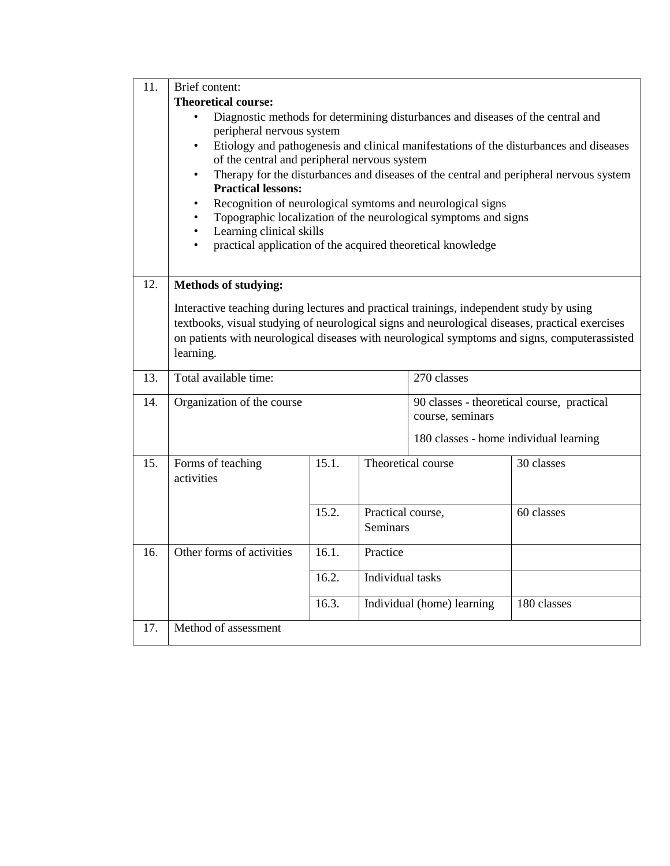| 11. | Brief content:                                                                                  |       |                   |                                                                |                                                                                        |  |
|-----|-------------------------------------------------------------------------------------------------|-------|-------------------|----------------------------------------------------------------|----------------------------------------------------------------------------------------|--|
|     | <b>Theoretical course:</b>                                                                      |       |                   |                                                                |                                                                                        |  |
|     | Diagnostic methods for determining disturbances and diseases of the central and                 |       |                   |                                                                |                                                                                        |  |
|     | peripheral nervous system                                                                       |       |                   |                                                                |                                                                                        |  |
|     | of the central and peripheral nervous system                                                    |       |                   |                                                                | Etiology and pathogenesis and clinical manifestations of the disturbances and diseases |  |
|     | $\bullet$                                                                                       |       |                   |                                                                | Therapy for the disturbances and diseases of the central and peripheral nervous system |  |
|     | <b>Practical lessons:</b>                                                                       |       |                   |                                                                |                                                                                        |  |
|     | $\bullet$                                                                                       |       |                   | Recognition of neurological symtoms and neurological signs     |                                                                                        |  |
|     | Topographic localization of the neurological symptoms and signs                                 |       |                   |                                                                |                                                                                        |  |
|     | Learning clinical skills                                                                        |       |                   |                                                                |                                                                                        |  |
|     | practical application of the acquired theoretical knowledge                                     |       |                   |                                                                |                                                                                        |  |
|     |                                                                                                 |       |                   |                                                                |                                                                                        |  |
| 12. | <b>Methods of studying:</b>                                                                     |       |                   |                                                                |                                                                                        |  |
|     | Interactive teaching during lectures and practical trainings, independent study by using        |       |                   |                                                                |                                                                                        |  |
|     | textbooks, visual studying of neurological signs and neurological diseases, practical exercises |       |                   |                                                                |                                                                                        |  |
|     | on patients with neurological diseases with neurological symptoms and signs, computerassisted   |       |                   |                                                                |                                                                                        |  |
|     | learning.                                                                                       |       |                   |                                                                |                                                                                        |  |
| 13. | Total available time:<br>270 classes                                                            |       |                   |                                                                |                                                                                        |  |
|     |                                                                                                 |       |                   |                                                                |                                                                                        |  |
| 14. | Organization of the course                                                                      |       |                   | 90 classes - theoretical course, practical<br>course, seminars |                                                                                        |  |
|     |                                                                                                 |       |                   |                                                                |                                                                                        |  |
|     |                                                                                                 |       |                   | 180 classes - home individual learning                         |                                                                                        |  |
| 15. | Forms of teaching                                                                               | 15.1. |                   | Theoretical course                                             | 30 classes                                                                             |  |
|     | activities                                                                                      |       |                   |                                                                |                                                                                        |  |
|     |                                                                                                 |       |                   |                                                                |                                                                                        |  |
|     |                                                                                                 | 15.2. | Practical course, |                                                                | 60 classes                                                                             |  |
|     |                                                                                                 |       | <b>Seminars</b>   |                                                                |                                                                                        |  |
| 16. | Other forms of activities                                                                       | 16.1. | Practice          |                                                                |                                                                                        |  |
|     |                                                                                                 | 16.2. | Individual tasks  |                                                                |                                                                                        |  |
|     |                                                                                                 |       |                   |                                                                |                                                                                        |  |
|     |                                                                                                 | 16.3. |                   | Individual (home) learning                                     | 180 classes                                                                            |  |
| 17. | Method of assessment                                                                            |       |                   |                                                                |                                                                                        |  |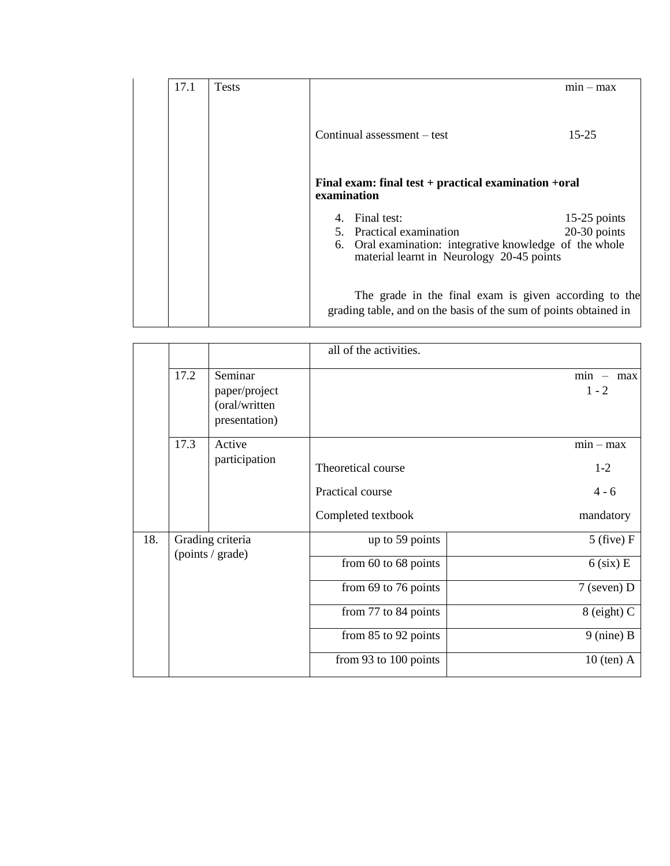| 17.1 | <b>Tests</b> |                                                                                                                           | $min - max$    |  |  |
|------|--------------|---------------------------------------------------------------------------------------------------------------------------|----------------|--|--|
|      |              | Continual assessment – test                                                                                               | $15 - 25$      |  |  |
|      |              | Final exam: final test $+$ practical examination $+$ oral<br>examination                                                  |                |  |  |
|      |              | 4. Final test:                                                                                                            | $15-25$ points |  |  |
|      |              | 5. Practical examination                                                                                                  | $20-30$ points |  |  |
|      |              | 6. Oral examination: integrative knowledge of the whole<br>material learnt in Neurology 20-45 points                      |                |  |  |
|      |              | The grade in the final exam is given according to the<br>grading table, and on the basis of the sum of points obtained in |                |  |  |

|     |                                      |                                                            | all of the activities.                 |                                 |
|-----|--------------------------------------|------------------------------------------------------------|----------------------------------------|---------------------------------|
|     | 17.2                                 | Seminar<br>paper/project<br>(oral/written<br>presentation) |                                        | $min - max$<br>$1 - 2$          |
|     | 17.3                                 | Active<br>participation                                    | Theoretical course<br>Practical course | $min - max$<br>$1-2$<br>$4 - 6$ |
|     |                                      |                                                            | Completed textbook                     | mandatory                       |
| 18. | Grading criteria<br>(points / grade) |                                                            | up to 59 points                        | $5$ (five) F                    |
|     |                                      |                                                            | from 60 to 68 points                   | $6$ (six) E                     |
|     |                                      |                                                            | from 69 to 76 points                   | $7$ (seven) D                   |
|     |                                      |                                                            | from 77 to 84 points                   | $8$ (eight) C                   |
|     |                                      |                                                            | from 85 to 92 points                   | $9$ (nine) B                    |
|     |                                      |                                                            | from 93 to 100 points                  | $10$ (ten) A                    |